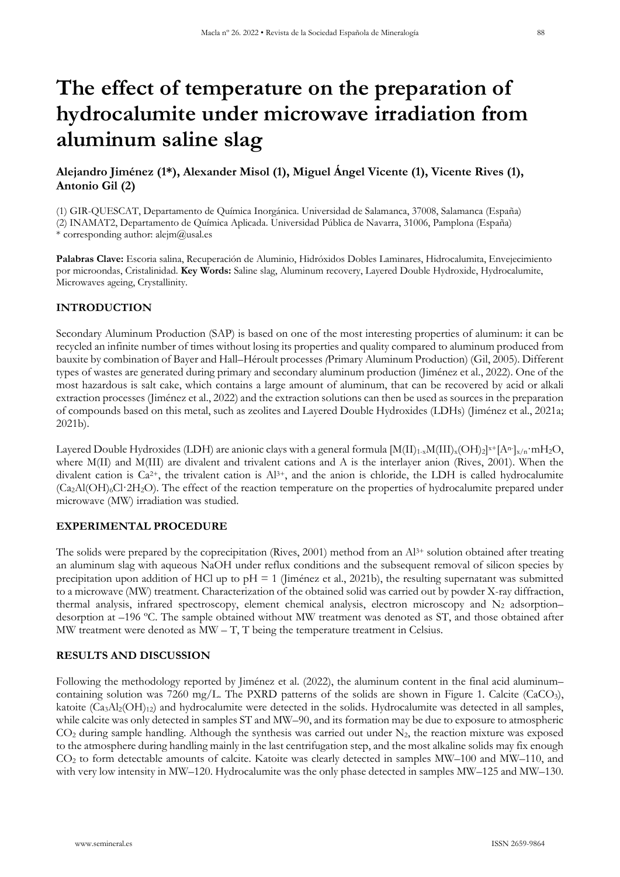# **The effect of temperature on the preparation of hydrocalumite under microwave irradiation from aluminum saline slag**

## **Alejandro Jiménez (1\*), Alexander Misol (1), Miguel Ángel Vicente (1), Vicente Rives (1), Antonio Gil (2)**

(1) GIR-QUESCAT, Departamento de Química Inorgánica. Universidad de Salamanca, 37008, Salamanca (España) (2) INAMAT2, Departamento de Química Aplicada. Universidad Pública de Navarra, 31006, Pamplona (España) \* corresponding author: [alejm@usal.es](mailto:alejm@usal.es)

**Palabras Clave:** Escoria salina, Recuperación de Aluminio, Hidróxidos Dobles Laminares, Hidrocalumita, Envejecimiento por microondas, Cristalinidad. **Key Words:** Saline slag, Aluminum recovery, Layered Double Hydroxide, Hydrocalumite, Microwaves ageing, Crystallinity.

#### **INTRODUCTION**

Secondary Aluminum Production (SAP) is based on one of the most interesting properties of aluminum: it can be recycled an infinite number of times without losing its properties and quality compared to aluminum produced from bauxite by combination of Bayer and Hall–Héroult processes *(*Primary Aluminum Production) (Gil, 2005). Different types of wastes are generated during primary and secondary aluminum production (Jiménez et al., 2022). One of the most hazardous is salt cake, which contains a large amount of aluminum, that can be recovered by acid or alkali extraction processes (Jiménez et al., 2022) and the extraction solutions can then be used as sources in the preparation of compounds based on this metal, such as zeolites and Layered Double Hydroxides (LDHs) (Jiménez et al., 2021a; 2021b).

Layered Double Hydroxides (LDH) are anionic clays with a general formula  $[M(II)_{1-x}M(III)_x(OH)_2]^{x+}[A^n]_{x/n} \cdot mH_2O$ , where M(II) and M(III) are divalent and trivalent cations and A is the interlayer anion (Rives, 2001). When the divalent cation is Ca<sup>2+</sup>, the trivalent cation is Al<sup>3+</sup>, and the anion is chloride, the LDH is called hydrocalumite  $(Ca_2Al(OH)_6Cl·2H_2O)$ . The effect of the reaction temperature on the properties of hydrocalumite prepared under microwave (MW) irradiation was studied.

#### **EXPERIMENTAL PROCEDURE**

The solids were prepared by the coprecipitation (Rives, 2001) method from an  $Al^{3+}$  solution obtained after treating an aluminum slag with aqueous NaOH under reflux conditions and the subsequent removal of silicon species by precipitation upon addition of HCl up to pH = 1 (Jiménez et al., 2021b), the resulting supernatant was submitted to a microwave (MW) treatment. Characterization of the obtained solid was carried out by powder X-ray diffraction, thermal analysis, infrared spectroscopy, element chemical analysis, electron microscopy and  $N_2$  adsorption– desorption at –196 ºC. The sample obtained without MW treatment was denoted as ST, and those obtained after MW treatment were denoted as MW – T, T being the temperature treatment in Celsius.

### **RESULTS AND DISCUSSION**

Following the methodology reported by Jiménez et al. (2022), the aluminum content in the final acid aluminum– containing solution was 7260 mg/L. The PXRD patterns of the solids are shown in Figure 1. Calcite (CaCO<sub>3</sub>), katoite  $(Ca_3Al_2(OH)_{12})$  and hydrocalumite were detected in the solids. Hydrocalumite was detected in all samples, while calcite was only detected in samples ST and MW–90, and its formation may be due to exposure to atmospheric  $CO<sub>2</sub>$  during sample handling. Although the synthesis was carried out under N<sub>2</sub>, the reaction mixture was exposed to the atmosphere during handling mainly in the last centrifugation step, and the most alkaline solids may fix enough CO2 to form detectable amounts of calcite. Katoite was clearly detected in samples MW–100 and MW–110, and with very low intensity in MW–120. Hydrocalumite was the only phase detected in samples MW–125 and MW–130.